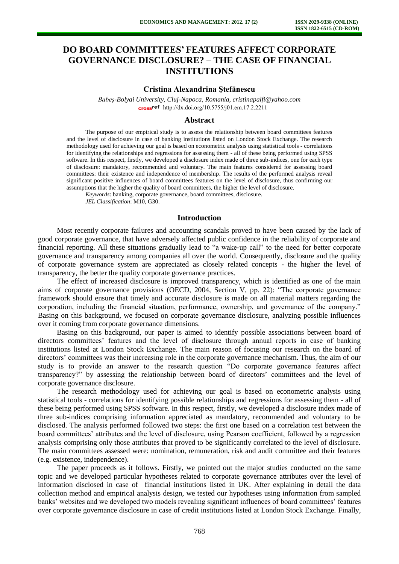# **DO BOARD COMMITTEES' FEATURES AFFECT CORPORATE GOVERNANCE DISCLOSURE? – THE CASE OF FINANCIAL INSTITUTIONS**

#### **Cristina Alexandrina Ştefănescu**

*Babeş-Bolyai University, Cluj-Napoca, Romania, cristinapalfi@yahoo.com*  cross<sup>ref</sup> [http://dx.doi.org/10.5755/j01.e](http://dx.doi.org/10.5755/j01.em.17.2.2211)m.17.2.2211

#### **Abstract**

The purpose of our empirical study is to assess the relationship between board committees features and the level of disclosure in case of banking institutions listed on London Stock Exchange. The research methodology used for achieving our goal is based on econometric analysis using statistical tools - correlations for identifying the relationships and regressions for assessing them - all of these being performed using SPSS software. In this respect, firstly, we developed a disclosure index made of three sub-indices, one for each type of disclosure: mandatory, recommended and voluntary. The main features considered for assessing board committees: their existence and independence of membership. The results of the performed analysis reveal significant positive influences of board committees features on the level of disclosure, thus confirming our assumptions that the higher the quality of board committees, the higher the level of disclosure.

*Keywords*: banking, corporate governance, board committees, disclosure.

*JEL Classification*: M10, G30.

# **Introduction**

Most recently corporate failures and accounting scandals proved to have been caused by the lack of good corporate governance, that have adversely affected public confidence in the reliability of corporate and financial reporting. All these situations gradually lead to "a wake-up call" to the need for better corporate governance and transparency among companies all over the world. Consequently, disclosure and the quality of corporate governance system are appreciated as closely related concepts - the higher the level of transparency, the better the quality corporate governance practices.

The effect of increased disclosure is improved transparency, which is identified as one of the main aims of corporate governance provisions (OECD, 2004, Section V, pp. 22): "The corporate governance framework should ensure that timely and accurate disclosure is made on all material matters regarding the corporation, including the financial situation, performance, ownership, and governance of the company." Basing on this background, we focused on corporate governance disclosure, analyzing possible influences over it coming from corporate governance dimensions.

Basing on this background, our paper is aimed to identify possible associations between board of directors committees' features and the level of disclosure through annual reports in case of banking institutions listed at London Stock Exchange. The main reason of focusing our research on the board of directors' committees was their increasing role in the corporate governance mechanism. Thus, the aim of our study is to provide an answer to the research question "Do corporate governance features affect transparency?" by assessing the relationship between board of directors' committees and the level of corporate governance disclosure.

The research methodology used for achieving our goal is based on econometric analysis using statistical tools - correlations for identifying possible relationships and regressions for assessing them - all of these being performed using SPSS software. In this respect, firstly, we developed a disclosure index made of three sub-indices comprising information appreciated as mandatory, recommended and voluntary to be disclosed. The analysis performed followed two steps: the first one based on a correlation test between the board committees' attributes and the level of disclosure, using Pearson coefficient, followed by a regression analysis comprising only those attributes that proved to be significantly correlated to the level of disclosure. The main committees assessed were: nomination, remuneration, risk and audit committee and their features (e.g. existence, independence).

The paper proceeds as it follows. Firstly, we pointed out the major studies conducted on the same topic and we developed particular hypotheses related to corporate governance attributes over the level of information disclosed in case of financial institutions listed in UK. After explaining in detail the data collection method and empirical analysis design, we tested our hypotheses using information from sampled banks' websites and we developed two models revealing significant influences of board committees' features over corporate governance disclosure in case of credit institutions listed at London Stock Exchange. Finally,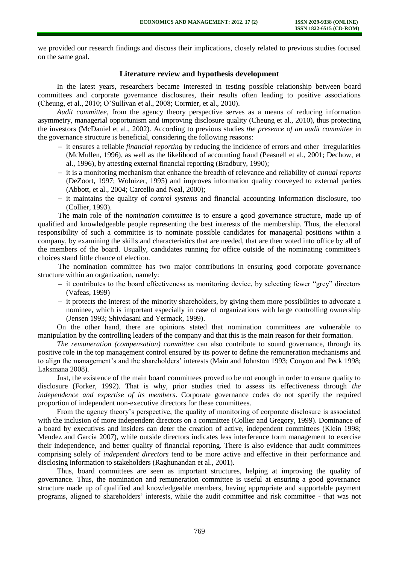we provided our research findings and discuss their implications, closely related to previous studies focused on the same goal.

# **Literature review and hypothesis development**

In the latest years, researchers became interested in testing possible relationship between board committees and corporate governance disclosures, their results often leading to positive associations (Cheung, et al., 2010; O'Sullivan et al., 2008; Cormier, et al., 2010).

*Audit committee*, from the agency theory perspective serves as a means of reducing information asymmetry, managerial opportunism and improving disclosure quality (Cheung et al., 2010), thus protecting the investors (McDaniel et al., 2002). According to previous studies *the presence of an audit committee* in the governance structure is beneficial, considering the following reasons:

- **–** it ensures a reliable *financial reporting* by reducing the incidence of errors and other irregularities (McMullen, 1996), as well as the likelihood of accounting fraud (Peasnell et al., 2001; Dechow, et al., 1996), by attesting external financial reporting (Bradbury, 1990);
- **–** it is a monitoring mechanism that enhance the breadth of relevance and reliability of *annual reports* (DeZoort, 1997; Wolnizer, 1995) and improves information quality conveyed to external parties (Abbott, et al., 2004; Carcello and Neal, 2000);
- **–** it maintains the quality of *control systems* and financial accounting information disclosure, too (Collier, 1993).

The main role of the *nomination committee* is to ensure a good governance structure, made up of qualified and knowledgeable people representing the best interests of the membership. Thus, the electoral responsibility of such a committee is to nominate possible candidates for managerial positions within a company, by examining the skills and characteristics that are needed, that are then voted into office by all of the members of the board. Usually, candidates running for office outside of the nominating committee's choices stand little chance of election.

The nomination committee has two major contributions in ensuring good corporate governance structure within an organization, namely:

- **–** it contributes to the board effectiveness as monitoring device, by selecting fewer "grey" directors (Vafeas, 1999)
- **–** it protects the interest of the minority shareholders, by giving them more possibilities to advocate a nominee, which is important especially in case of organizations with large controlling ownership (Jensen 1993; Shivdasani and Yermack, 1999).

On the other hand, there are opinions stated that nomination committees are vulnerable to manipulation by the controlling leaders of the company and that this is the main reason for their formation.

*The remuneration (compensation) committee* can also contribute to sound governance, through its positive role in the top management control ensured by its power to define the remuneration mechanisms and to align the management's and the shareholders' interests (Main and Johnston 1993; Conyon and Peck 1998; Laksmana 2008).

Just, the existence of the main board committees proved to be not enough in order to ensure quality to disclosure (Forker, 1992). That is why, prior studies tried to assess its effectiveness through *the independence and expertise of its members*. Corporate governance codes do not specify the required proportion of independent non-executive directors for these committees.

From the agency theory's perspective, the quality of monitoring of corporate disclosure is associated with the inclusion of more independent directors on a committee (Collier and Gregory, 1999). Dominance of a board by executives and insiders can deter the creation of active, independent committees (Klein 1998; Mendez and Garcia 2007), while outside directors indicates less interference form management to exercise their independence, and better quality of financial reporting. There is also evidence that audit committees comprising solely of *independent directors* tend to be more active and effective in their performance and disclosing information to stakeholders (Raghunandan et al., 2001).

Thus, board committees are seen as important structures, helping at improving the quality of governance. Thus, the nomination and remuneration committee is useful at ensuring a good governance structure made up of qualified and knowledgeable members, having appropriate and supportable payment programs, aligned to shareholders' interests, while the audit committee and risk committee - that was not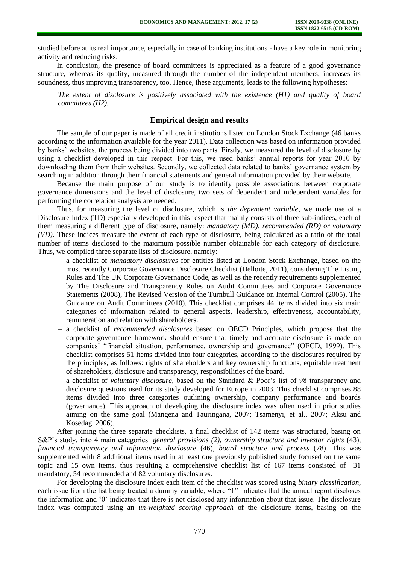studied before at its real importance, especially in case of banking institutions - have a key role in monitoring activity and reducing risks.

In conclusion, the presence of board committees is appreciated as a feature of a good governance structure, whereas its quality, measured through the number of the independent members, increases its soundness, thus improving transparency, too. Hence, these arguments, leads to the following hypotheses:

*The extent of disclosure is positively associated with the existence (H1) and quality of board committees (H2).* 

# **Empirical design and results**

The sample of our paper is made of all credit institutions listed on London Stock Exchange (46 banks according to the information available for the year 2011). Data collection was based on information provided by banks' websites, the process being divided into two parts. Firstly, we measured the level of disclosure by using a checklist developed in this respect. For this, we used banks' annual reports for year 2010 by downloading them from their websites. Secondly, we collected data related to banks' governance system by searching in addition through their financial statements and general information provided by their website.

Because the main purpose of our study is to identify possible associations between corporate governance dimensions and the level of disclosure, two sets of dependent and independent variables for performing the correlation analysis are needed.

Thus, for measuring the level of disclosure, which is *the dependent variable*, we made use of a Disclosure Index (TD) especially developed in this respect that mainly consists of three sub-indices, each of them measuring a different type of disclosure, namely: *mandatory (MD), recommended (RD) or voluntary (VD)*. These indices measure the extent of each type of disclosure, being calculated as a ratio of the total number of items disclosed to the maximum possible number obtainable for each category of disclosure. Thus, we compiled three separate lists of disclosure, namely:

- **–** a checklist of *mandatory disclosures* for entities listed at London Stock Exchange, based on the most recently Corporate Governance Disclosure Checklist (Delloite, 2011), considering The Listing Rules and The UK Corporate Governance Code, as well as the recently requirements supplemented by The Disclosure and Transparency Rules on Audit Committees and Corporate Governance Statements (2008), The Revised Version of the Turnbull Guidance on Internal Control (2005), The Guidance on Audit Committees (2010). This checklist comprises 44 items divided into six main categories of information related to general aspects, leadership, effectiveness, accountability, remuneration and relation with shareholders.
- **–** a checklist of *recommended disclosures* based on OECD Principles, which propose that the corporate governance framework should ensure that timely and accurate disclosure is made on companies' "financial situation, performance, ownership and governance" (OECD, 1999). This checklist comprises 51 items divided into four categories, according to the disclosures required by the principles, as follows: rights of shareholders and key ownership functions, equitable treatment of shareholders, disclosure and transparency, responsibilities of the board.
- **–** a checklist of *voluntary disclosure,* based on the Standard & Poor's list of 98 transparency and disclosure questions used for its study developed for Europe in 2003. This checklist comprises 88 items divided into three categories outlining ownership, company performance and boards (governance). This approach of developing the disclosure index was often used in prior studies aiming on the same goal (Mangena and Tauringana, 2007; Tsamenyi, et al., 2007; Aksu and Kosedag, 2006).

After joining the three separate checklists, a final checklist of 142 items was structured, basing on S&P's study, into 4 main categories: *general provisions (2), ownership structure and investor rights* (43), *financial transparency and information disclosure* (46), *board structure and process* (78). This was supplemented with 8 additional items used in at least one previously published study focused on the same topic and 15 own items, thus resulting a comprehensive checklist list of 167 items consisted of 31 mandatory, 54 recommended and 82 voluntary disclosures.

For developing the disclosure index each item of the checklist was scored using *binary classification*, each issue from the list being treated a dummy variable, where "1" indicates that the annual report discloses the information and '0' indicates that there is not disclosed any information about that issue. The disclosure index was computed using an *un-weighted scoring approach* of the disclosure items, basing on the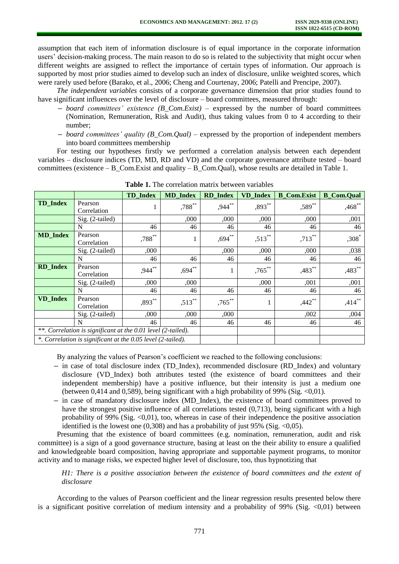assumption that each item of information disclosure is of equal importance in the corporate information users' decision-making process. The main reason to do so is related to the subjectivity that might occur when different weights are assigned to reflect the importance of certain types of information. Our approach is supported by most prior studies aimed to develop such an index of disclosure, unlike weighted scores, which were rarely used before (Barako, et al., 2006; Cheng and Courtenay, 2006; Patelli and Prencipe, 2007).

*The independent variables* consists of a corporate governance dimension that prior studies found to have significant influences over the level of disclosure – board committees, measured through:

- **–** *board committees' existence (B\_Com.Exist)* expressed by the number of board committees (Nomination, Remuneration, Risk and Audit), thus taking values from 0 to 4 according to their number;
- **–** *board committees' quality (B\_Com.Qual)* expressed by the proportion of independent members into board committees membership

For testing our hypotheses firstly we performed a correlation analysis between each dependent variables – disclosure indices (TD, MD, RD and VD) and the corporate governance attribute tested – board committees (existence – B\_Com.Exist and quality – B\_Com.Qual), whose results are detailed in Table 1.

|                 |                                                              | <b>TD</b> Index | <b>MD</b> Index | <b>RD</b> Index | <b>VD</b> Index | <b>B_Com.Exist</b>   | <b>B_Com.Qual</b> |
|-----------------|--------------------------------------------------------------|-----------------|-----------------|-----------------|-----------------|----------------------|-------------------|
| <b>TD</b> Index | Pearson<br>Correlation                                       |                 | $,788^{**}$     | $,944$ **       | ,893**          | ,589**               | $,468$ **         |
|                 | $Sig. (2-tailed)$                                            |                 | ,000            | ,000            | ,000            | ,000                 | ,001              |
|                 | N                                                            | 46              | 46              | 46              | 46              | 46                   | 46                |
| <b>MD_Index</b> | Pearson<br>Correlation                                       | $,788***$       | $\mathbf{1}$    | $,694***$       | $,513$ **       | $,713***$            | $,308^*$          |
|                 | Sig. (2-tailed)                                              | ,000            |                 | ,000            | ,000            | ,000                 | ,038              |
|                 | N                                                            | 46              | 46              | 46              | 46              | 46                   | 46                |
| <b>RD</b> Index | Pearson<br>Correlation                                       | ,944**          | $,694$ $*$      |                 | $,765***$       | $,483$ **            | ,483**            |
|                 | Sig. (2-tailed)                                              | ,000            | ,000            |                 | ,000            | ,001                 | ,001              |
|                 | N                                                            | 46              | 46              | 46              | 46              | 46                   | 46                |
| <b>VD</b> Index | Pearson<br>Correlation                                       | $,893***$       | $,513***$       | $,765***$       |                 | $,442$ <sup>**</sup> | $,414***$         |
|                 | Sig. (2-tailed)                                              | ,000            | ,000            | ,000            |                 | ,002                 | ,004              |
|                 | N                                                            | 46              | 46              | 46              | 46              | 46                   | 46                |
|                 | **. Correlation is significant at the 0.01 level (2-tailed). |                 |                 |                 |                 |                      |                   |
|                 | *. Correlation is significant at the 0.05 level (2-tailed).  |                 |                 |                 |                 |                      |                   |

**Table 1.** The correlation matrix between variables

By analyzing the values of Pearson's coefficient we reached to the following conclusions:

- **–** in case of total disclosure index (TD\_Index), recommended disclosure (RD\_Index) and voluntary disclosure (VD\_Index) both attributes tested (the existence of board committees and their independent membership) have a positive influence, but their intensity is just a medium one (between 0,414 and 0,589), being significant with a high probability of 99% (Sig.  $\langle 0.01 \rangle$ ).
- **–** in case of mandatory disclosure index (MD\_Index), the existence of board committees proved to have the strongest positive influence of all correlations tested (0,713), being significant with a high probability of 99% (Sig.  $\langle 0.01 \rangle$ , too, whereas in case of their independence the positive association identified is the lowest one  $(0,308)$  and has a probability of just 95% (Sig. <0,05).

Presuming that the existence of board committees (e.g. nomination, remuneration, audit and risk committee) is a sign of a good governance structure, basing at least on the their ability to ensure a qualified and knowledgeable board composition, having appropriate and supportable payment programs, to monitor activity and to manage risks, we expected higher level of disclosure, too, thus hypnotizing that

*H1: There is a positive association between the existence of board committees and the extent of disclosure* 

According to the values of Pearson coefficient and the linear regression results presented below there is a significant positive correlation of medium intensity and a probability of 99% (Sig.  $\langle 0.01 \rangle$ ) between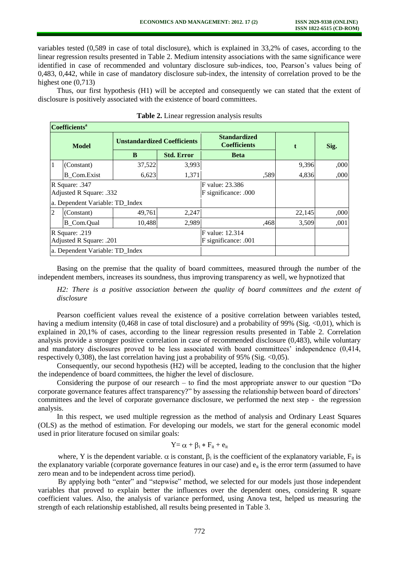variables tested (0,589 in case of total disclosure), which is explained in 33,2% of cases, according to the linear regression results presented in Table 2. Medium intensity associations with the same significance were identified in case of recommended and voluntary disclosure sub-indices, too, Pearson's values being of 0,483, 0,442, while in case of mandatory disclosure sub-index, the intensity of correlation proved to be the highest one (0,713)

Thus, our first hypothesis (H1) will be accepted and consequently we can stated that the extent of disclosure is positively associated with the existence of board committees.

| Coefficients <sup>a</sup>                 |                    |                                    |                                         |                                            |      |        |      |  |  |
|-------------------------------------------|--------------------|------------------------------------|-----------------------------------------|--------------------------------------------|------|--------|------|--|--|
| Model                                     |                    | <b>Unstandardized Coefficients</b> |                                         | <b>Standardized</b><br><b>Coefficients</b> |      | t      | Sig. |  |  |
|                                           |                    | B                                  | <b>Std. Error</b>                       | <b>Beta</b>                                |      |        |      |  |  |
| 1                                         | (Constant)         | 37,522                             | 3,993                                   |                                            |      | 9,396  | ,000 |  |  |
|                                           | <b>B</b> Com.Exist | 6,623                              | 1,371                                   |                                            | ,589 | 4,836  | ,000 |  |  |
| R Square: .347<br>Adjusted R Square: .332 |                    |                                    | F value: 23.386<br>F significance: .000 |                                            |      |        |      |  |  |
| a. Dependent Variable: TD_Index           |                    |                                    |                                         |                                            |      |        |      |  |  |
| $\overline{2}$                            | (Constant)         | 49,761                             | 2,247                                   |                                            |      | 22,145 | ,000 |  |  |
|                                           | <b>B_Com.Qual</b>  | 10,488                             | 2,989                                   |                                            | ,468 | 3,509  | ,001 |  |  |
| R Square: .219<br>Adjusted R Square: .201 |                    |                                    | F value: 12.314<br>F significance: .001 |                                            |      |        |      |  |  |
| a. Dependent Variable: TD Index           |                    |                                    |                                         |                                            |      |        |      |  |  |

|  | Table 2. Linear regression analysis results |  |
|--|---------------------------------------------|--|
|  |                                             |  |
|  |                                             |  |

Basing on the premise that the quality of board committees, measured through the number of the independent members, increases its soundness, thus improving transparency as well, we hypnotized that

*H2: There is a positive association between the quality of board committees and the extent of disclosure* 

Pearson coefficient values reveal the existence of a positive correlation between variables tested, having a medium intensity (0,468 in case of total disclosure) and a probability of 99% (Sig. <0,01), which is explained in 20,1% of cases, according to the linear regression results presented in Table 2. Correlation analysis provide a stronger positive correlation in case of recommended disclosure (0,483), while voluntary and mandatory disclosures proved to be less associated with board committees' independence (0,414, respectively 0,308), the last correlation having just a probability of 95% (Sig.  $\langle 0.05 \rangle$ ).

Consequently, our second hypothesis (H2) will be accepted, leading to the conclusion that the higher the independence of board committees, the higher the level of disclosure.

Considering the purpose of our research – to find the most appropriate answer to our question "Do corporate governance features affect transparency?" by assessing the relationship between board of directors' committees and the level of corporate governance disclosure, we performed the next step - the regression analysis.

In this respect, we used multiple regression as the method of analysis and Ordinary Least Squares (OLS) as the method of estimation. For developing our models, we start for the general economic model used in prior literature focused on similar goals:

$$
Y{=}\,\alpha+\beta_i*F_{it}+e_{it}
$$

where, Y is the dependent variable.  $\alpha$  is constant,  $\beta_i$  is the coefficient of the explanatory variable,  $F_{it}$  is the explanatory variable (corporate governance features in our case) and  $e_{it}$  is the error term (assumed to have zero mean and to be independent across time period).

By applying both "enter" and "stepwise" method, we selected for our models just those independent variables that proved to explain better the influences over the dependent ones, considering R square coefficient values. Also, the analysis of variance performed, using Anova test, helped us measuring the strength of each relationship established, all results being presented in Table 3.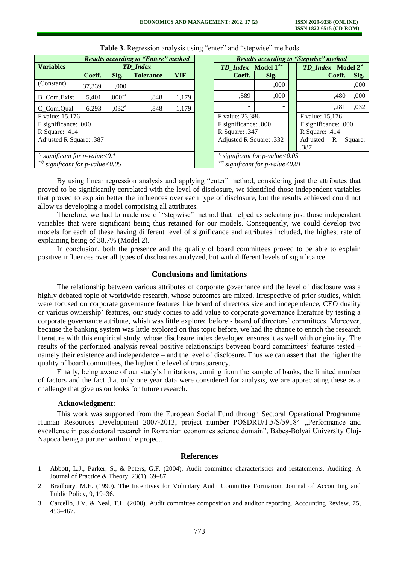|                                      | <b>Results according to "Entere" method</b> |             |                  |                                       | <b>Results according to "Stepwise" method</b> |      |                       |                     |      |
|--------------------------------------|---------------------------------------------|-------------|------------------|---------------------------------------|-----------------------------------------------|------|-----------------------|---------------------|------|
| <b>Variables</b>                     | <b>TD</b> Index                             |             |                  |                                       | TD_Index - Model 1**                          |      |                       | TD_Index - Model 2* |      |
|                                      | Coeff.                                      | Sig.        | <b>Tolerance</b> | <b>VIF</b>                            | Coeff.                                        | Sig. |                       | Coeff.              | Sig. |
| (Constant)                           | 37.339                                      | .000.       |                  |                                       |                                               | ,000 |                       |                     | ,000 |
| <b>B</b> Com.Exist                   | 5,401                                       | $,000^{**}$ | ,848             | 1,179                                 | ,589                                          | ,000 |                       | ,480                | ,000 |
| C_Com.Qual                           | 6.293                                       | $0.032*$    | ,848             | 1.179                                 |                                               |      |                       | ,281                | ,032 |
| F value: 15.176                      |                                             |             |                  | F value: 23,386<br>F value: 15,176    |                                               |      |                       |                     |      |
| F significance: .000                 |                                             |             |                  | F significance: .000                  |                                               |      | F significance: .000  |                     |      |
| R Square: .414                       |                                             |             |                  | R Square: .347                        |                                               |      | R Square: .414        |                     |      |
| Adjusted R Square: .387              |                                             |             |                  | Adjusted R Square: .332               |                                               |      | Adjusted<br>R<br>.387 | Square:             |      |
| *) significant for $p$ -value < 0.1  |                                             |             |                  | $*$ significant for p-value < 0.05    |                                               |      |                       |                     |      |
| **) significant for p-value < $0.05$ |                                             |             |                  | significant for p-value<0.01<br>$***$ |                                               |      |                       |                     |      |

**Table 3.** Regression analysis using "enter" and "stepwise" methods

By using linear regression analysis and applying "enter" method, considering just the attributes that proved to be significantly correlated with the level of disclosure, we identified those independent variables that proved to explain better the influences over each type of disclosure, but the results achieved could not allow us developing a model comprising all attributes.

Therefore, we had to made use of "stepwise" method that helped us selecting just those independent variables that were significant being thus retained for our models. Consequently, we could develop two models for each of these having different level of significance and attributes included, the highest rate of explaining being of 38,7% (Model 2).

In conclusion, both the presence and the quality of board committees proved to be able to explain positive influences over all types of disclosures analyzed, but with different levels of significance.

## **Conclusions and limitations**

The relationship between various attributes of corporate governance and the level of disclosure was a highly debated topic of worldwide research, whose outcomes are mixed. Irrespective of prior studies, which were focused on corporate governance features like board of directors size and independence, CEO duality or various ownership' features, our study comes to add value to corporate governance literature by testing a corporate governance attribute, whish was little explored before - board of directors' committees. Moreover, because the banking system was little explored on this topic before, we had the chance to enrich the research literature with this empirical study, whose disclosure index developed ensures it as well with originality. The results of the performed analysis reveal positive relationships between board committees' features tested – namely their existence and independence – and the level of disclosure. Thus we can assert that the higher the quality of board committees, the higher the level of transparency.

Finally, being aware of our study's limitations, coming from the sample of banks, the limited number of factors and the fact that only one year data were considered for analysis, we are appreciating these as a challenge that give us outlooks for future research.

### **Acknowledgment:**

This work was supported from the European Social Fund through Sectoral Operational Programme Human Resources Development 2007-2013, project number POSDRU/1.5/S/59184 "Performance and excellence in postdoctoral research in Romanian economics science domain", Babeş-Bolyai University Cluj-Napoca being a partner within the project.

#### **References**

- 1. Abbott, L.J., Parker, S., & Peters, G.F. (2004). Audit committee characteristics and restatements. Auditing: A Journal of Practice & Theory, 23(1), 69–87.
- 2. Bradbury, M.E. (1990). The Incentives for Voluntary Audit Committee Formation, Journal of Accounting and Public Policy, 9, 19–36.
- 3. Carcello, J.V. & Neal, T.L. (2000). Audit committee composition and auditor reporting. Accounting Review, 75, 453–467.